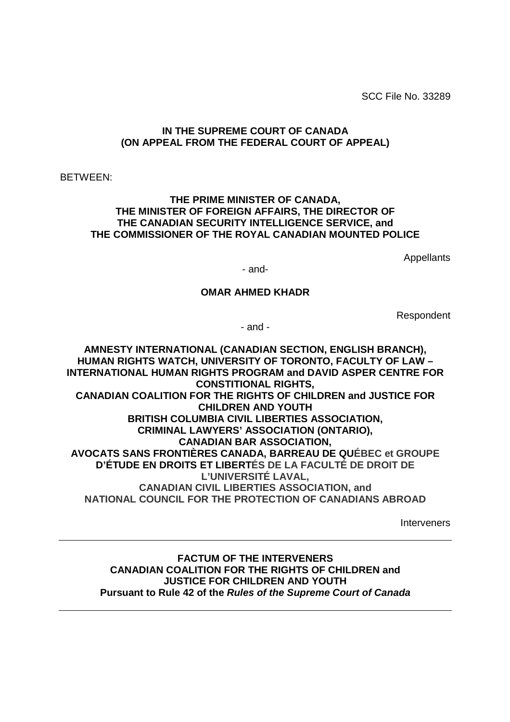SCC File No. 33289

#### **IN THE SUPREME COURT OF CANADA (ON APPEAL FROM THE FEDERAL COURT OF APPEAL)**

BETWEEN:

#### **THE PRIME MINISTER OF CANADA, THE MINISTER OF FOREIGN AFFAIRS, THE DIRECTOR OF THE CANADIAN SECURITY INTELLIGENCE SERVICE, and THE COMMISSIONER OF THE ROYAL CANADIAN MOUNTED POLICE**

Appellants

- and-

#### **OMAR AHMED KHADR**

Respondent

- and -

**AMNESTY INTERNATIONAL (CANADIAN SECTION, ENGLISH BRANCH), HUMAN RIGHTS WATCH, UNIVERSITY OF TORONTO, FACULTY OF LAW – INTERNATIONAL HUMAN RIGHTS PROGRAM and DAVID ASPER CENTRE FOR CONSTITIONAL RIGHTS, CANADIAN COALITION FOR THE RIGHTS OF CHILDREN and JUSTICE FOR CHILDREN AND YOUTH BRITISH COLUMBIA CIVIL LIBERTIES ASSOCIATION, CRIMINAL LAWYERS' ASSOCIATION (ONTARIO), CANADIAN BAR ASSOCIATION, AVOCATS SANS FRONTIÈRES CANADA, BARREAU DE QUÉBEC et GROUPE D'ÉTUDE EN DROITS ET LIBERTÉS DE LA FACULTÉ DE DROIT DE L'UNIVERSITÉ LAVAL, CANADIAN CIVIL LIBERTIES ASSOCIATION, and NATIONAL COUNCIL FOR THE PROTECTION OF CANADIANS ABROAD**

Interveners

**FACTUM OF THE INTERVENERS CANADIAN COALITION FOR THE RIGHTS OF CHILDREN and JUSTICE FOR CHILDREN AND YOUTH Pursuant to Rule 42 of the Rules of the Supreme Court of Canada**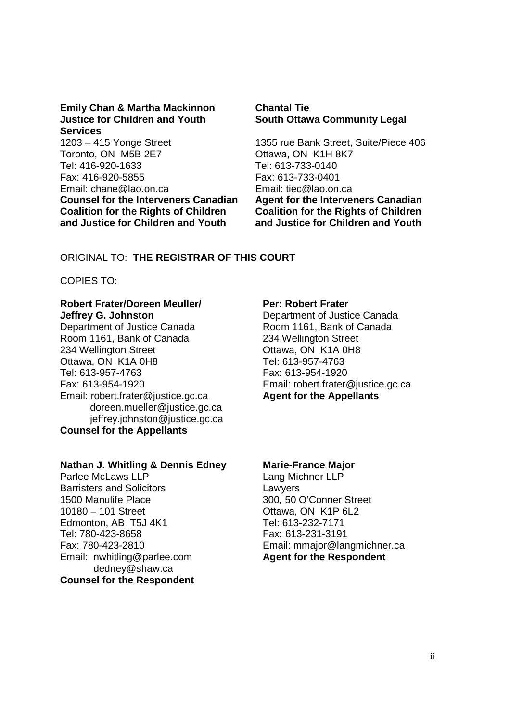#### **Emily Chan & Martha Mackinnon Chantal Tie Justice for Children and Youth South Ottawa Community Legal Services**

1203 – 415 Yonge Street 1355 rue Bank Street, Suite/Piece 406 Toronto, ON M5B 2E7 Ottawa, ON K1H 8K7 Tel: 416-920-1633 Tel: 613-733-0140 Fax: 416-920-5855 Fax: 613-733-0401 Email: chane@lao.on.ca Email: tiec@lao.on.ca **Counsel for the Interveners Canadian Agent for the Interveners Canadian Coalition for the Rights of Children Coalition for the Rights of Children and Justice for Children and Youth and Justice for Children and Youth** 

#### ORIGINAL TO: **THE REGISTRAR OF THIS COURT**

COPIES TO:

#### **Robert Frater/Doreen Meuller/ Per: Robert Frater Jeffrey G. Johnston** Department of Justice Canada

Department of Justice Canada Room 1161, Bank of Canada Room 1161, Bank of Canada 234 Wellington Street 234 Wellington Street **Ottawa, ON K1A 0H8** Ottawa, ON K1A 0H8 Tel: 613-957-4763 Tel: 613-957-4763 Fax: 613-954-1920 Fax: 613-954-1920 Email: robert.frater@justice.gc.ca Email: robert.frater@justice.gc.ca **Agent for the Appellants**  doreen.mueller@justice.gc.ca jeffrey.johnston@justice.gc.ca **Counsel for the Appellants** 

#### **Nathan J. Whitling & Dennis Edney Marie-France Major**

Parlee McLaws LLP Lang Michner LLP Barristers and Solicitors Lawyers 1500 Manulife Place 300, 50 O'Conner Street 10180 – 101 Street Ottawa, ON K1P 6L2 Edmonton, AB T5J 4K1 Tel: 613-232-7171 Tel: 780-423-8658 Fax: 613-231-3191 Email: nwhitling@parlee.com **Agent for the Respondent**  dedney@shaw.ca **Counsel for the Respondent** 

Fax: 780-423-2810 Email: mmajor@langmichner.ca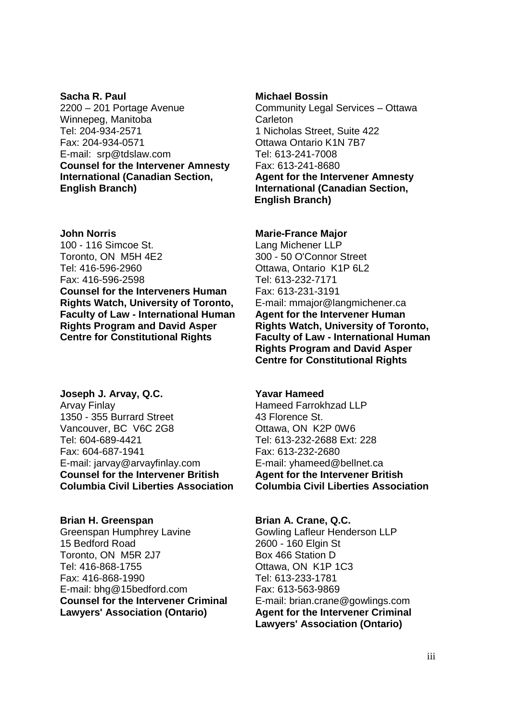#### **Sacha R. Paul Michael Bossin Communist Communist Communist Communist Communist Communist Communist Communist Communist Communist Communist Communist Communist Communist Communist Communist Communist Communist Communist Co** 2200 – 201 Portage Avenue Community Legal Services – Ottawa Winnepeg, Manitoba Carleton Tel: 204-934-2571 1 Nicholas Street, Suite 422 Fax: 204-934-0571 Ottawa Ontario K1N 7B7 E-mail: srp@tdslaw.com Tel: 613-241-7008 **Counsel for the Intervener Amnesty** Fax: 613-241-8680 **International (Canadian Section, Agent for the Intervener Amnesty English Branch) International (Canadian Section,**

100 - 116 Simcoe St. Lang Michener LLP Toronto, ON M5H 4E2 300 - 50 O'Connor Street Tel: 416-596-2960 Ottawa, Ontario K1P 6L2 Fax: 416-596-2598 Tel: 613-232-7171 **Counsel for the Interveners Human** Fax: 613-231-3191 **Rights Watch, University of Toronto,** E-mail: mmajor@langmichener.ca **Faculty of Law - International Human Agent for the Intervener Human Rights Program and David Asper** Rights Watch, University of Toronto, Centre for Constitutional Rights Faculty of Law - International Human

# **Joseph J. Arvay, Q.C. Yavar Hameed**

Arvay Finlay **Hameed Farrokhzad LLP** 1350 - 355 Burrard Street 43 Florence St. Vancouver, BC V6C 2G8 Ottawa, ON K2P 0W6 Tel: 604-689-4421 Tel: 613-232-2688 Ext: 228 Fax: 604-687-1941 Fax: 613-232-2680 E-mail: jarvay@arvayfinlay.com E-mail: yhameed@bellnet.ca **Counsel for the Intervener British 6. Agent for the Intervener British Columbia Civil Liberties Association Columbia Civil Liberties Association** 

### Brian H. Greenspan Brian A. Crane, Q.C.

Greenspan Humphrey Lavine **Gowling Lafleur Henderson LLP** 15 Bedford Road 2600 - 160 Elgin St Toronto, ON M5R 2J7 Box 466 Station D Tel: 416-868-1755 Ottawa, ON K1P 1C3 Fax: 416-868-1990 Tel: 613-233-1781 E-mail: bhg@15bedford.com Fax: 613-563-9869 **Counsel for the Intervener Criminal** E-mail: brian.crane@gowlings.com Lawyers' Association (Ontario) **Agent for the Intervener Criminal** 

 **English Branch)** 

#### **John Norris Marie-France Major Marie-France Major**

**Faculty of Law - International Human Rights Program and David Asper Centre for Constitutional Rights** 

# **Lawyers' Association (Ontario)**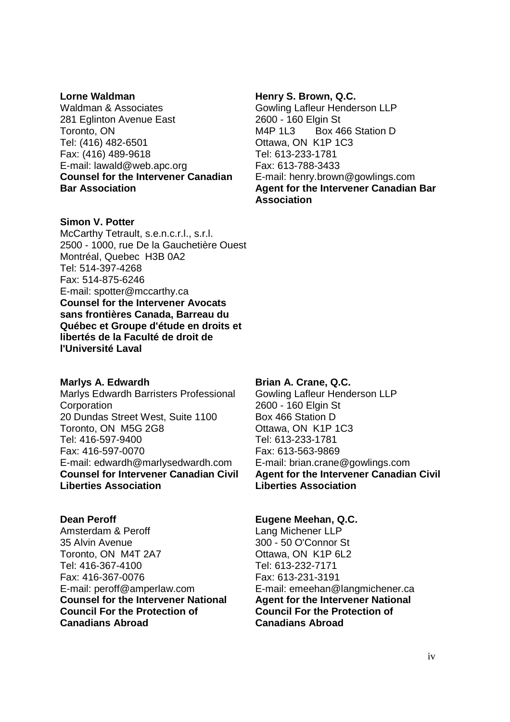Waldman & Associates Gowling Lafleur Henderson LLP 281 Eglinton Avenue East 2600 - 160 Elgin St Toronto, ON M4P 1L3 Box 466 Station D Tel: (416) 482-6501 Ottawa, ON K1P 1C3 Fax: (416) 489-9618 Tel: 613-233-1781 E-mail: lawald@web.apc.org Fax: 613-788-3433 **Counsel for the Intervener Canadian** E-mail: henry.brown@gowlings.com

#### **Simon V. Potter**

McCarthy Tetrault, s.e.n.c.r.l., s.r.l. 2500 - 1000, rue De la Gauchetière Ouest Montréal, Quebec H3B 0A2 Tel: 514-397-4268 Fax: 514-875-6246 E-mail: spotter@mccarthy.ca **Counsel for the Intervener Avocats sans frontières Canada, Barreau du Québec et Groupe d'étude en droits et libertés de la Faculté de droit de l'Université Laval** 

#### **Marlys A. Edwardh Brian A. Crane, Q.C. Brian A. Crane, Q.C.**

Marlys Edwardh Barristers Professional Gowling Lafleur Henderson LLP Corporation 2600 - 160 Elgin St 20 Dundas Street West, Suite 1100 Box 466 Station D Toronto, ON M5G 2G8 Chawa, ON K1P 1C3 Tel: 416-597-9400 Tel: 613-233-1781 Fax: 416-597-0070 Fax: 613-563-9869 E-mail: edwardh@marlysedwardh.com E-mail: brian.crane@gowlings.com **Liberties Association Liberties Association** 

Amsterdam & Peroff Lang Michener LLP 35 Alvin Avenue 300 - 50 O'Connor St Toronto, ON M4T 2A7 Christian Cottawa, ON K1P 6L2 Tel: 416-367-4100 Tel: 613-232-7171 Fax: 416-367-0076 Fax: 613-231-3191 E-mail: peroff@amperlaw.com E-mail: emeehan@langmichener.ca **Counsel for the Intervener National Agent for the Intervener National Counsel for the Intervener National Council For the Protection of Council For the Protection of Canadians Abroad Canadians Abroad** 

#### Lorne Waldman **Henry S. Brown, Q.C. Henry S. Brown**, Q.C.

**Bar Association Canadian Bar Agent for the Intervener Canadian Bar Association** 

**Counsel for Intervener Canadian Civil Agent for the Intervener Canadian Civil** 

#### **Dean Peroff Contract Contract Contract Contract Contract Contract Contract Contract Contract Contract Contract Contract Contract Contract Contract Contract Contract Contract Contract Contract Contract Contract Contract Co**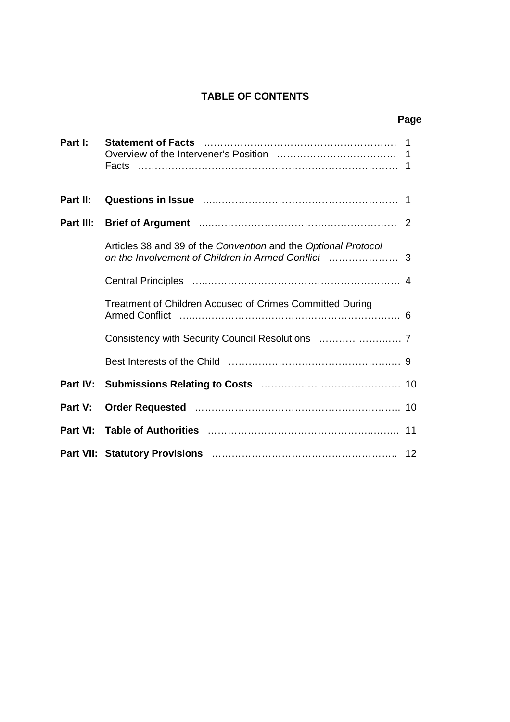## **TABLE OF CONTENTS**

| Part I:   | Facts                                                                                                                                                                       |  |
|-----------|-----------------------------------------------------------------------------------------------------------------------------------------------------------------------------|--|
| Part II:  |                                                                                                                                                                             |  |
| Part III: |                                                                                                                                                                             |  |
|           | Articles 38 and 39 of the Convention and the Optional Protocol                                                                                                              |  |
|           |                                                                                                                                                                             |  |
|           | Treatment of Children Accused of Crimes Committed During<br>Armed Conflict (and the control of the control of the control of the control of the control of the control of t |  |
|           |                                                                                                                                                                             |  |
|           |                                                                                                                                                                             |  |
| Part IV:  |                                                                                                                                                                             |  |
| Part V:   |                                                                                                                                                                             |  |
| Part VI:  |                                                                                                                                                                             |  |
|           |                                                                                                                                                                             |  |

#### **Page**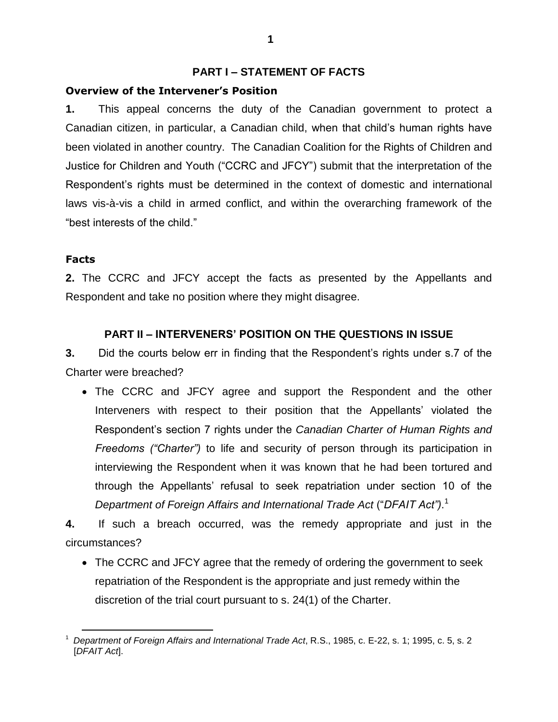#### **PART I –STATEMENT OF FACTS**

#### **Overview of the Intervener's Position**

**1.** This appeal concerns the duty of the Canadian government to protect a Canadian citizen, in particular, a Canadian child, when that child's human rights have been violated in another country. The Canadian Coalition for the Rights of Children and Justice for Children and Youth ("CCRC and JFCY") submit that the interpretation of the Respondent's rights must be determined in the context of domestic and international laws vis-à-vis a child in armed conflict, and within the overarching framework of the "best interests of the child."

#### **Facts**

**2.** The CCRC and JFCY accept the facts as presented by the Appellants and Respondent and take no position where they might disagree.

## **PART II –INTERVENERS'POSITIONON THE QUESTIONS IN ISSUE**

**3.** Did the courts below err in finding that the Respondent's rights under s.7 of the Charter were breached?

 The CCRC and JFCY agree and support the Respondent and the other Interveners with respect to their position that the Appellants' violated the Respondent's section 7 rights under the Canadian Charter of Human Rights and *Freedoms ("Charter")* to life and security of person through its participation in interviewing the Respondent when it was known that he had been tortured and through the Appellants' refusal to seek repatriation under section 10 of the **Department of Foreign Affairs and International Trade Act ("DFAIT Act").<sup>1</sup>** 

**4.** If such a breach occurred, was the remedy appropriate and just in the circumstances?

• The CCRC and JFCY agree that the remedy of ordering the government to seek repatriation of the Respondent is the appropriate and just remedy within the discretion of the trial court pursuant to s. 24(1) of the Charter.

<sup>1</sup> *Department of Foreign Affairs and International Trade Act*, R.S., 1985, c. E-22, s. 1; 1995, c. 5, s. 2 [*DFAIT Act*].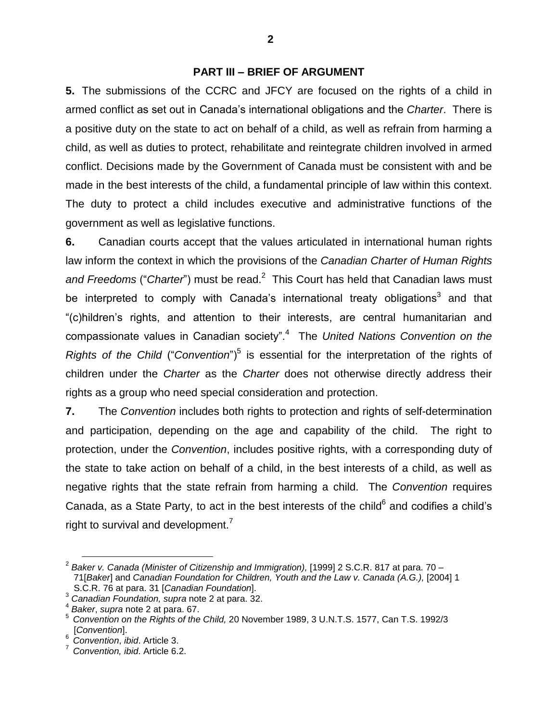#### **PART III –BRIEF OF ARGUMENT**

**5.** The submissions of the CCRC and JFCY are focused on the rights of a child in armed conflict as set out in Canada's international obligations and the *Charter*. There is a positive duty on the state to act on behalf of a child, as well as refrain from harming a child, as well as duties to protect, rehabilitate and reintegrate children involved in armed conflict. Decisions made by the Government of Canada must be consistent with and be made in the best interests of the child, a fundamental principle of law within this context. The duty to protect a child includes executive and administrative functions of the government as well as legislative functions.

**6.** Canadian courts accept that the values articulated in international human rights law inform the context in which the provisions of the *Canadian Charter of Human Rights* and Freedoms ("Charter") must be read.<sup>2</sup> This Court has held that Canadian laws must be interpreted to comply with Canada's international treaty obligations<sup>3</sup> and that "(c)hildren's rights, and attention to their interests, are central humanitarian and compassionate values in Canadian society".<sup>4</sup> The *United Nations Convention on the* Rights of the Child ("Convention")<sup>5</sup> is essential for the interpretation of the rights of children under the *Charter* as the *Charter* does not otherwise directly address their rights as a group who need special consideration and protection.

**7.** The *Convention* includes both rights to protection and rights of self-determination and participation, depending on the age and capability of the child. The right to protection, under the *Convention*, includes positive rights, with a corresponding duty of the state to take action on behalf of a child, in the best interests of a child, as well as negative rights that the state refrain from harming a child. The *Convention* requires Canada, as a State Party, to act in the best interests of the child<sup>6</sup> and codifies a child's right to survival and development.<sup>7</sup>

<sup>2</sup> *Baker v. Canada (Minister of Citizenship and Immigration),* [1999] 2 S.C.R. 817 at para. 70 – 71[*Baker*] and *Canadian Foundation for Children, Youth and the Law v. Canada (A.G.),* [2004] 1 S.C.R. 76 at para. 31 [*Canadian Foundation*].

<sup>3</sup> *Canadian Foundation, supra* note 2 at para. 32. 4

*Baker*, *supra* note 2 at para. 67.

<sup>5</sup> *Convention on the Rights of the Child,* 20 November 1989, 3 U.N.T.S. 1577, Can T.S. 1992/3 [*Convention*].

<sup>6</sup> *Convention*, *ibid*. Article 3.

<sup>7</sup> *Convention, ibid*. Article 6.2.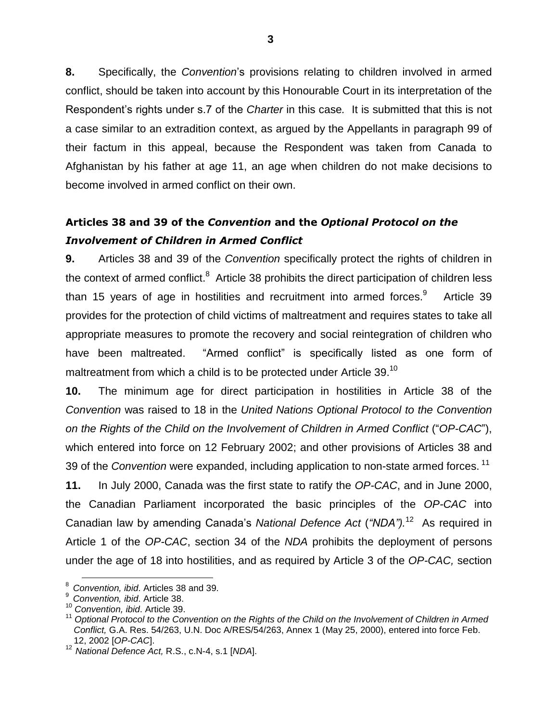**8.** Specifically, the *Convention*'s provisions relating to children involved in armed conflict, should be taken into account by this Honourable Court in its interpretation of the Respondent's rights under s.7 of the *Charter* in this case. It is submitted that this is not a case similar to an extradition context, as argued by the Appellants in paragraph 99 of their factum in this appeal, because the Respondent was taken from Canada to Afghanistan by his father at age 11, an age when children do not make decisions to become involved in armed conflict on their own.

# **Articles 38 and 39 of the** *Convention* **and the** *Optional Protocol on the Involvement of Children in Armed Conflict*

**9.** Articles 38 and 39 of the *Convention* specifically protect the rights of children in the context of armed conflict. $8$  Article 38 prohibits the direct participation of children less than 15 years of age in hostilities and recruitment into armed forces. $9$  Article 39 provides for the protection of child victims of maltreatment and requires states to take all appropriate measures to promote the recovery and social reintegration of children who have been maltreated. "Armed conflict" is specifically listed as one form of maltreatment from which a child is to be protected under Article 39.<sup>10</sup>

**10.** The minimum age for direct participation in hostilities in Article 38 of the *Convention* was raised to 18 in the *United Nations Optional Protocol to the Convention on the Rights of the Child on the Involvement of Children in Armed Conflict* ("*OP-CAC*"), which entered into force on 12 February 2002; and other provisions of Articles 38 and 39 of the *Convention* were expanded, including application to non-state armed forces. 11

**11.** In July 2000, Canada was the first state to ratify the *OP-CAC*, and in June 2000, the Canadian Parliament incorporated the basic principles of the *OP-CAC* into Canadian law by amending Canada's National Defence Act ("NDA").<sup>12</sup> As required in Article 1 of the *OP-CAC*, section 34 of the *NDA* prohibits the deployment of persons under the age of 18 into hostilities, and as required by Article 3 of the *OP-CAC,* section

<sup>8</sup> *Convention, ibid*. Articles 38 and 39.

<sup>9</sup> *Convention, ibid*. Article 38.

<sup>10</sup> *Convention, ibid*. Article 39.

<sup>11</sup> *Optional Protocol to the Convention on the Rights of the Child on the Involvement of Children in Armed Conflict,* G.A. Res. 54/263, U.N. Doc A/RES/54/263, Annex 1 (May 25, 2000), entered into force Feb. 12, 2002 [*OP-CAC*].

<sup>12</sup> *National Defence Act,* R.S., c.N-4, s.1 [*NDA*].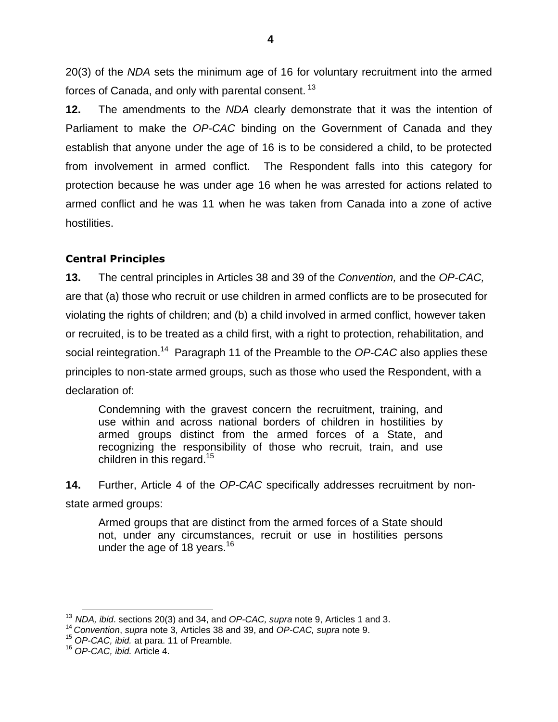20(3) of the *NDA* sets the minimum age of 16 for voluntary recruitment into the armed forces of Canada, and only with parental consent. <sup>13</sup>

**12.** The amendments to the *NDA* clearly demonstrate that it was the intention of Parliament to make the *OP-CAC* binding on the Government of Canada and they establish that anyone under the age of 16 is to be considered a child, to be protected from involvement in armed conflict. The Respondent falls into this category for protection because he was under age 16 when he was arrested for actions related to armed conflict and he was 11 when he was taken from Canada into a zone of active hostilities.

#### **Central Principles**

**13.** The central principles in Articles 38 and 39 of the *Convention,* and the *OP-CAC,* are that (a) those who recruit or use children in armed conflicts are to be prosecuted for violating the rights of children; and (b) a child involved in armed conflict, however taken or recruited, is to be treated as a child first, with a right to protection, rehabilitation, and social reintegration.<sup>14</sup> Paragraph 11 of the Preamble to the *OP-CAC* also applies these principles to non-state armed groups, such as those who used the Respondent, with a declaration of:

Condemning with the gravest concern the recruitment, training, and use within and across national borders of children in hostilities by armed groups distinct from the armed forces of a State, and recognizing the responsibility of those who recruit, train, and use children in this regard.<sup>15</sup>

**14.** Further, Article 4 of the *OP-CAC* specifically addresses recruitment by nonstate armed groups:

Armed groups that are distinct from the armed forces of a State should not, under any circumstances, recruit or use in hostilities persons under the age of 18 years.<sup>16</sup>

<sup>13</sup> *NDA, ibid*. sections 20(3) and 34, and *OP-CAC, supra* note 9, Articles 1 and 3.

<sup>14</sup> *Convention*, *supra* note 3, Articles 38 and 39, and *OP-CAC, supra* note 9.

<sup>15</sup> *OP-CAC, ibid.* at para. 11 of Preamble.

<sup>16</sup> *OP-CAC, ibid.* Article 4.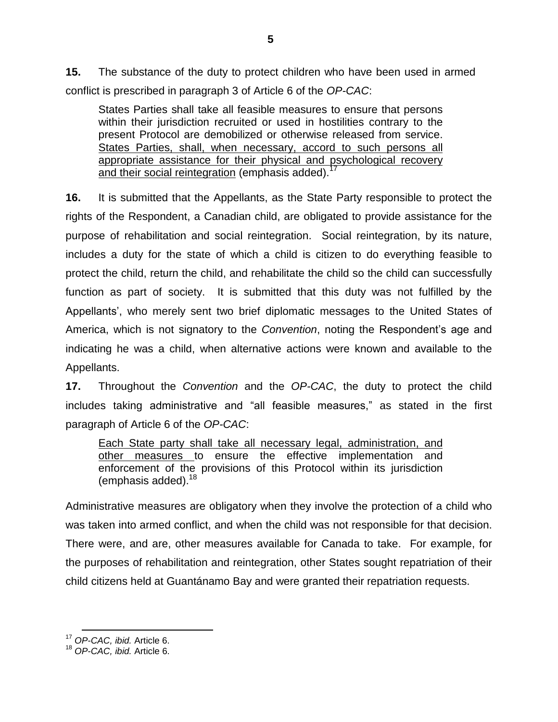**15.** The substance of the duty to protect children who have been used in armed conflict is prescribed in paragraph 3 of Article 6 of the *OP-CAC*:

States Parties shall take all feasible measures to ensure that persons within their jurisdiction recruited or used in hostilities contrary to the present Protocol are demobilized or otherwise released from service. States Parties, shall, when necessary, accord to such persons all appropriate assistance for their physical and psychological recovery and their social reintegration (emphasis added).<sup>17</sup>

**16.** It is submitted that the Appellants, as the State Party responsible to protect the rights of the Respondent, a Canadian child, are obligated to provide assistance for the purpose of rehabilitation and social reintegration. Social reintegration, by its nature, includes a duty for the state of which a child is citizen to do everything feasible to protect the child, return the child, and rehabilitate the child so the child can successfully function as part of society. It is submitted that this duty was not fulfilled by the Appellants', who merely sent two brief diplomatic messages to the United States of America, which is not signatory to the *Convention*, noting the Respondent's age and indicating he was a child, when alternative actions were known and available to the Appellants.

**17.** Throughout the *Convention* and the *OP-CAC*, the duty to protect the child includes taking administrative and "all feasible measures," as stated in the first paragraph of Article 6 of the *OP-CAC*:

Each State party shall take all necessary legal, administration, and other measures to ensure the effective implementation and enforcement of the provisions of this Protocol within its jurisdiction (emphasis added).<sup>18</sup>

Administrative measures are obligatory when they involve the protection of a child who was taken into armed conflict, and when the child was not responsible for that decision. There were, and are, other measures available for Canada to take. For example, for the purposes of rehabilitation and reintegration, other States sought repatriation of their child citizens held at Guantánamo Bay and were granted their repatriation requests.

<sup>17</sup> *OP-CAC, ibid.* Article 6.

<sup>18</sup> *OP-CAC, ibid.* Article 6.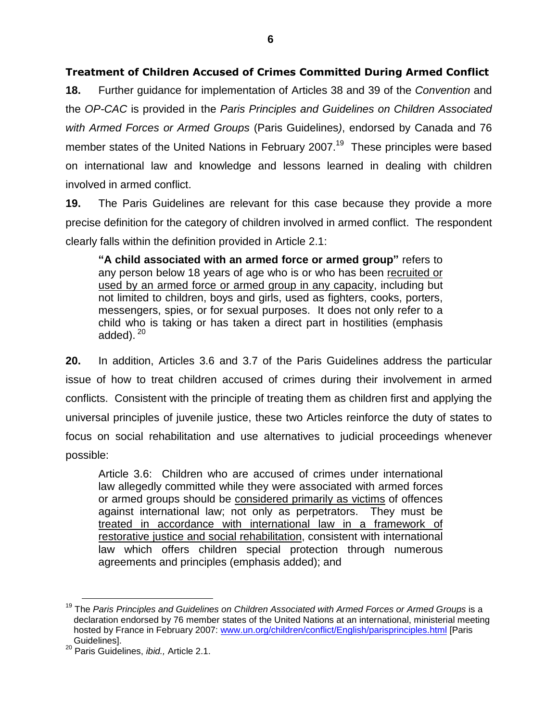## **Treatment of Children Accused of Crimes Committed During Armed Conflict**

**18.** Further guidance for implementation of Articles 38 and 39 of the *Convention* and the *OP-CAC* is provided in the *Paris Principles and Guidelines on Children Associated with Armed Forces or Armed Groups* (Paris Guidelines*)*, endorsed by Canada and 76 member states of the United Nations in February 2007.<sup>19</sup> These principles were based on international law and knowledge and lessons learned in dealing with children involved in armed conflict.

**19.** The Paris Guidelines are relevant for this case because they provide a more precise definition for the category of children involved in armed conflict. The respondent clearly falls within the definition provided in Article 2.1:

**"A child associated with an armed force or armed group"**refers to any person below 18 years of age who is or who has been recruited or used by an armed force or armed group in any capacity, including but not limited to children, boys and girls, used as fighters, cooks, porters, messengers, spies, or for sexual purposes. It does not only refer to a child who is taking or has taken a direct part in hostilities (emphasis added).  $20$ 

**20.** In addition, Articles 3.6 and 3.7 of the Paris Guidelines address the particular issue of how to treat children accused of crimes during their involvement in armed conflicts. Consistent with the principle of treating them as children first and applying the universal principles of juvenile justice, these two Articles reinforce the duty of states to focus on social rehabilitation and use alternatives to judicial proceedings whenever possible:

Article 3.6: Children who are accused of crimes under international law allegedly committed while they were associated with armed forces or armed groups should be considered primarily as victims of offences against international law; not only as perpetrators. They must be treated in accordance with international law in a framework of restorative justice and social rehabilitation, consistent with international law which offers children special protection through numerous agreements and principles (emphasis added); and

<sup>&</sup>lt;sup>19</sup> The *Paris Principles and Guidelines on Children Associated with Armed Forces or Armed Groups is a* declaration endorsed by 76 member states of the United Nations at an international, ministerial meeting hosted by France in February 2007: www.un.org/children/conflict/English/parisprinciples.html [Paris Guidelines].

<sup>20</sup> Paris Guidelines, *ibid.,* Article 2.1.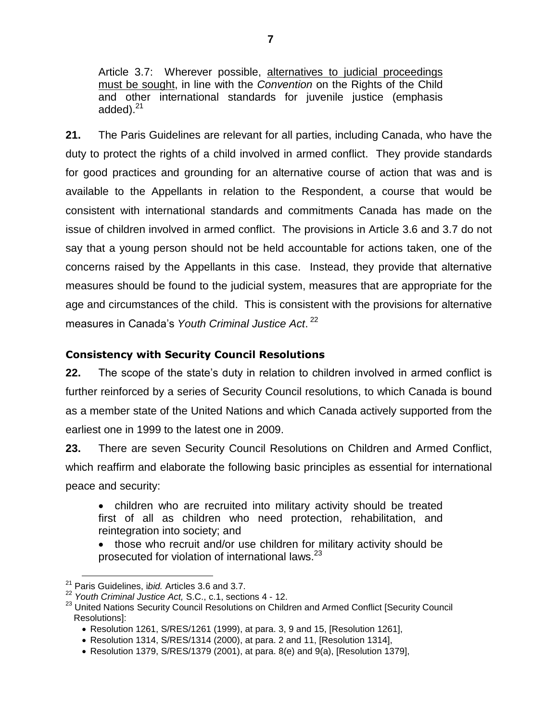Article 3.7: Wherever possible, alternatives to judicial proceedings must be sought, in line with the *Convention* on the Rights of the Child and other international standards for juvenile justice (emphasis added).<sup>21</sup>

**21.** The Paris Guidelines are relevant for all parties, including Canada, who have the duty to protect the rights of a child involved in armed conflict. They provide standards for good practices and grounding for an alternative course of action that was and is available to the Appellants in relation to the Respondent, a course that would be consistent with international standards and commitments Canada has made on the issue of children involved in armed conflict. The provisions in Article 3.6 and 3.7 do not say that a young person should not be held accountable for actions taken, one of the concerns raised by the Appellants in this case. Instead, they provide that alternative measures should be found to the judicial system, measures that are appropriate for the age and circumstances of the child. This is consistent with the provisions for alternative measures in Canada's Youth Criminal Justice Act.<sup>22</sup>

## **Consistency with Security Council Resolutions**

**22.** The scope of the state's duty in relation to children involved in armed conflict is further reinforced by a series of Security Council resolutions, to which Canada is bound as a member state of the United Nations and which Canada actively supported from the earliest one in 1999 to the latest one in 2009.

**23.** There are seven Security Council Resolutions on Children and Armed Conflict, which reaffirm and elaborate the following basic principles as essential for international peace and security:

- children who are recruited into military activity should be treated first of all as children who need protection, rehabilitation, and reintegration into society; and
- those who recruit and/or use children for military activity should be prosecuted for violation of international laws. $^{23}$

<sup>21</sup> Paris Guidelines, i*bid.* Articles 3.6 and 3.7.

<sup>22</sup> *Youth Criminal Justice Act,* S.C., c.1, sections 4 - 12.

<sup>&</sup>lt;sup>23</sup> United Nations Security Council Resolutions on Children and Armed Conflict [Security Council Resolutions]:

Resolution 1261, S/RES/1261 (1999), at para. 3, 9 and 15, [Resolution 1261],

Resolution 1314, S/RES/1314 (2000), at para. 2 and 11, [Resolution 1314],

Resolution 1379, S/RES/1379 (2001), at para. 8(e) and 9(a), [Resolution 1379],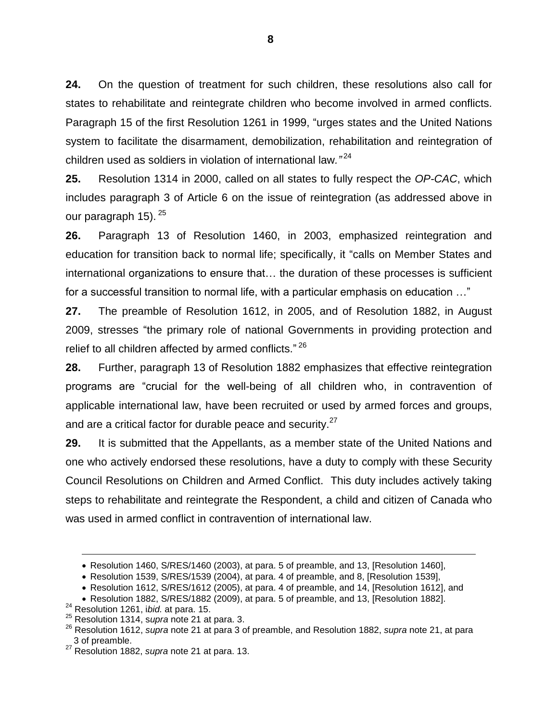**24.** On the question of treatment for such children, these resolutions also call for states to rehabilitate and reintegrate children who become involved in armed conflicts. Paragraph 15 of the first Resolution 1261 in 1999, "urges states and the United Nations system to facilitate the disarmament, demobilization, rehabilitation and reintegration of children used as soldiers in violation of international law*."*<sup>24</sup>

**25.** Resolution 1314 in 2000, called on all states to fully respect the *OP-CAC*, which includes paragraph 3 of Article 6 on the issue of reintegration (as addressed above in our paragraph 15). <sup>25</sup>

**26.** Paragraph 13 of Resolution 1460, in 2003, emphasized reintegration and education for transition back to normal life; specifically, it"calls on Member States and international organizations to ensure that... the duration of these processes is sufficient for a successful transition to normal life, with a particular emphasis on education ..."

**27.** The preamble of Resolution 1612, in 2005, and of Resolution 1882, in August 2009, stresses "the primary role of national Governments in providing protection and relief to all children affected by armed conflicts."<sup>26</sup>

**28.** Further, paragraph 13 of Resolution 1882 emphasizes that effective reintegration programs are "crucial for the well-being of all children who, in contravention of applicable international law, have been recruited or used by armed forces and groups, and are a critical factor for durable peace and security.<sup>27</sup>

**29.** It is submitted that the Appellants, as a member state of the United Nations and one who actively endorsed these resolutions, have a duty to comply with these Security Council Resolutions on Children and Armed Conflict. This duty includes actively taking steps to rehabilitate and reintegrate the Respondent, a child and citizen of Canada who was used in armed conflict in contravention of international law.

Resolution 1460, S/RES/1460 (2003), at para. 5 of preamble, and 13, [Resolution 1460],

Resolution 1539, S/RES/1539 (2004), at para. 4 of preamble, and 8, [Resolution 1539],

Resolution 1612, S/RES/1612 (2005), at para. 4 of preamble, and 14, [Resolution 1612], and

Resolution 1882, S/RES/1882 (2009), at para. 5 of preamble, and 13, [Resolution 1882].

<sup>24</sup> Resolution 1261, i*bid.* at para. 15.

<sup>25</sup> Resolution 1314, s*upra* note 21 at para. 3.

<sup>26</sup> Resolution 1612, *supra* note 21 at para 3 of preamble, and Resolution 1882, *supra* note 21, at para 3 of preamble.

<sup>27</sup> Resolution 1882, *supra* note 21 at para. 13.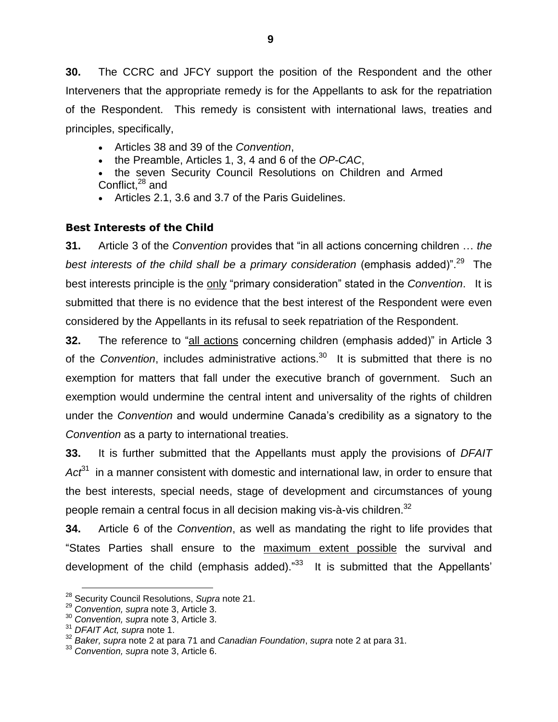**30.** The CCRC and JFCY support the position of the Respondent and the other Interveners that the appropriate remedy is for the Appellants to ask for the repatriation of the Respondent. This remedy is consistent with international laws, treaties and principles, specifically,

- Articles 38 and 39 of the *Convention*,
- the Preamble, Articles 1, 3, 4 and 6 of the *OP-CAC*,
- the seven Security Council Resolutions on Children and Armed Conflict,<sup>28</sup> and
- Articles 2.1, 3.6 and 3.7 of the Paris Guidelines.

# **Best Interests of the Child**

**31.** Article 3 of the *Convention* provides that "in all actions concerning children ... the best interests of the child shall be a primary consideration (emphasis added)".<sup>29</sup> The best interests principle is the only "primary consideration" stated in the *Convention*. It is submitted that there is no evidence that the best interest of the Respondent were even considered by the Appellants in its refusal to seek repatriation of the Respondent.

**32.** The reference to "all actions concerning children (emphasis added)" in Article 3 of the *Convention*, includes administrative actions.<sup>30</sup> It is submitted that there is no exemption for matters that fall under the executive branch of government. Such an exemption would undermine the central intent and universality of the rights of children under the *Convention* and would undermine Canada's credibility as a signatory to the *Convention* as a party to international treaties.

**33.** It is further submitted that the Appellants must apply the provisions of *DFAIT* Act<sup>31</sup> in a manner consistent with domestic and international law, in order to ensure that the best interests, special needs, stage of development and circumstances of young people remain a central focus in all decision making vis-à-vis children.<sup>32</sup>

**34.** Article 6 of the *Convention*, as well as mandating the right to life provides that "States Parties shall ensure to the maximum extent possible the survival and development of the child (emphasis added). $^{33}$  It is submitted that the Appellants'

<sup>28</sup> Security Council Resolutions, *Supra* note 21.

<sup>29</sup> *Convention, supra* note 3, Article 3.

<sup>30</sup> *Convention, supra* note 3, Article 3.

<sup>31</sup> *DFAIT Act, supra* note 1.

<sup>32</sup> *Baker, supra* note 2 at para 71 and *Canadian Foundation*, *supra* note 2 at para 31.

<sup>33</sup> *Convention, supra* note 3, Article 6.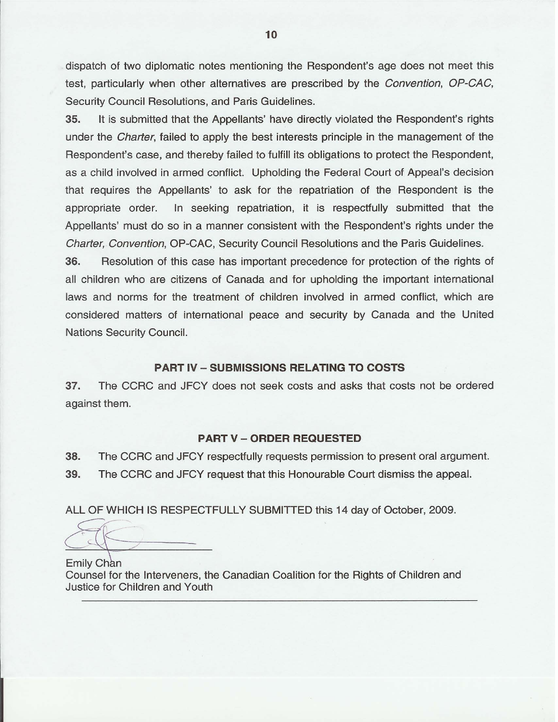dispatch of two diplomatic notes mentioning the Respondent's age does not meet this test, particularly when other alternatives are prescribed by the *Convention*, OP-CAC, Security Council Resolutions, and Paris Guidelines.

35. It is submitted that the Appellants' have directly violated the Respondent's rights under the *Charter*, failed to apply the best interests principle in the management of the Respondent's case, and thereby failed to fulfill its obligations to protect the Respondent, as a child involved in armed conflict. Upholding the Federal Court of Appeal's decision that requires the Appellants' to ask for the repatriation of the Respondent is the appropriate order. In seeking repatriation, it is respectfully submitted that the Appellants' must do so in a manner consistent with the Respondent's rights under the Charter, Convention, OP-CAC, Security Council Resolutions and the Paris Guidelines.

36. Resolution of this case has important precedence for protection of the rights of all children who are citizens of Canada and for upholding the important international laws and norms for the treatment of children involved in armed conflict, which are considered matters of international peace and security by Canada and the United Nations Security Council.

#### **PART IV - SUBMISSIONS RELATING TO COSTS**

37. The CCRC and JFCY does not seek costs and asks that costs not be ordered against them.

#### **PART V - ORDER REQUESTED**

38. The CCRC and JFCY respectfully requests permission to present oral argument. 39. The CCRC and JFCY request that this Honourable Court dismiss the appeal.

ALL OF WHICH IS RESPECTFULLY SUBMITTED this 14 day of October, 2009.

Emily Chan Counsel for the Interveners, the Canadian Coalition for the Rights of Children and Justice for Children and Youth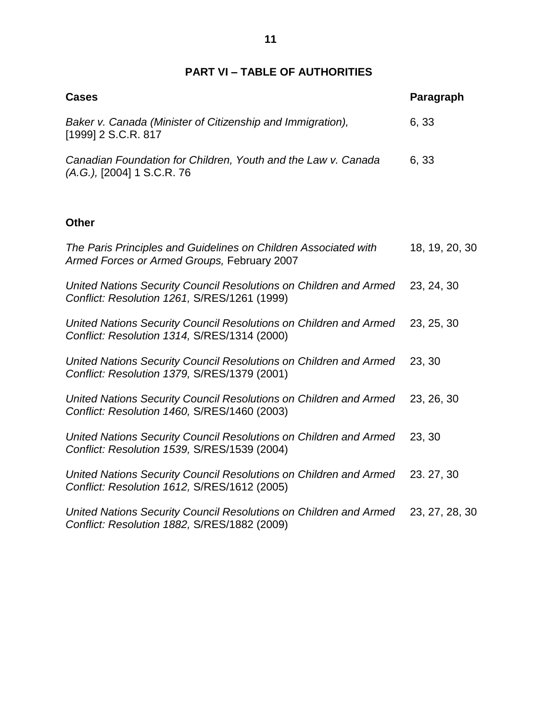# **PART VI –TABLE OF AUTHORITIES**

| <b>Cases</b>                                                                                                      | Paragraph      |
|-------------------------------------------------------------------------------------------------------------------|----------------|
| Baker v. Canada (Minister of Citizenship and Immigration),<br>[1999] 2 S.C.R. 817                                 | 6, 33          |
| Canadian Foundation for Children, Youth and the Law v. Canada<br>(A.G.), [2004] 1 S.C.R. 76                       | 6, 33          |
| <b>Other</b>                                                                                                      |                |
| The Paris Principles and Guidelines on Children Associated with<br>Armed Forces or Armed Groups, February 2007    | 18, 19, 20, 30 |
| United Nations Security Council Resolutions on Children and Armed<br>Conflict: Resolution 1261, S/RES/1261 (1999) | 23, 24, 30     |
| United Nations Security Council Resolutions on Children and Armed<br>Conflict: Resolution 1314, S/RES/1314 (2000) | 23, 25, 30     |
| United Nations Security Council Resolutions on Children and Armed<br>Conflict: Resolution 1379, S/RES/1379 (2001) | 23, 30         |
| United Nations Security Council Resolutions on Children and Armed<br>Conflict: Resolution 1460, S/RES/1460 (2003) | 23, 26, 30     |
| United Nations Security Council Resolutions on Children and Armed<br>Conflict: Resolution 1539, S/RES/1539 (2004) | 23, 30         |
| United Nations Security Council Resolutions on Children and Armed<br>Conflict: Resolution 1612, S/RES/1612 (2005) | 23.27,30       |
| United Nations Security Council Resolutions on Children and Armed<br>Conflict: Resolution 1882, S/RES/1882 (2009) | 23, 27, 28, 30 |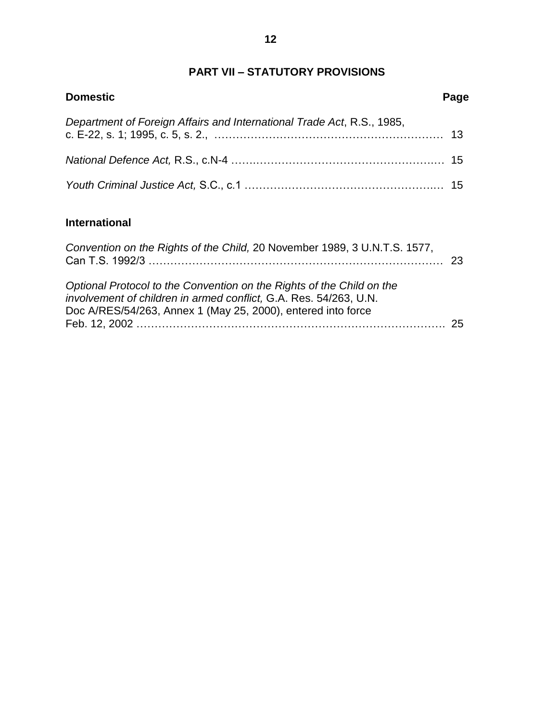# **PART VII –STATUTORY PROVISIONS**

| <b>Domestic</b>                                                           | Page |
|---------------------------------------------------------------------------|------|
| Department of Foreign Affairs and International Trade Act, R.S., 1985,    |      |
|                                                                           |      |
|                                                                           |      |
| <b>International</b>                                                      |      |
| Convention on the Rights of the Child, 20 November 1989, 3 U.N.T.S. 1577, | 23   |

| Optional Protocol to the Convention on the Rights of the Child on the |  |
|-----------------------------------------------------------------------|--|
| involvement of children in armed conflict, G.A. Res. 54/263, U.N.     |  |
| Doc A/RES/54/263, Annex 1 (May 25, 2000), entered into force          |  |
|                                                                       |  |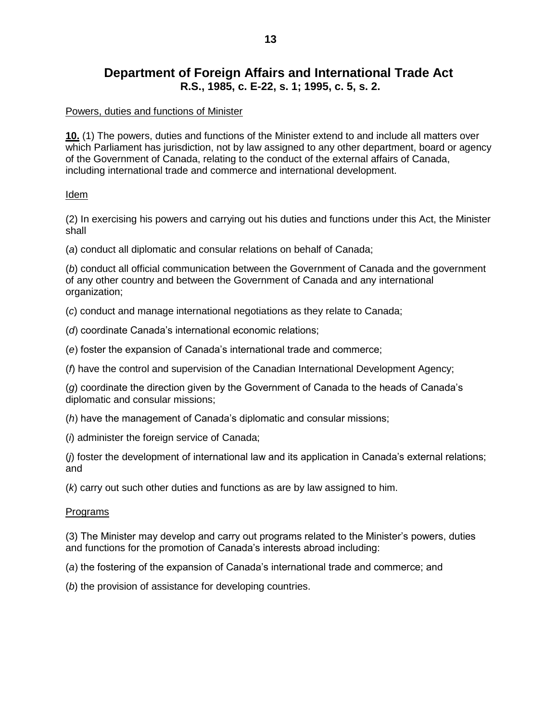# **Department of Foreign Affairs and International Trade Act R.S., 1985, c. E-22, s. 1; 1995, c. 5, s. 2.**

#### Powers, duties and functions of Minister

**10.** (1) The powers, duties and functions of the Minister extend to and include all matters over which Parliament has jurisdiction, not by law assigned to any other department, board or agency of the Government of Canada, relating to the conduct of the external affairs of Canada, including international trade and commerce and international development.

#### Idem

(2) In exercising his powers and carrying out his duties and functions under this Act, the Minister shall

(*a*) conduct all diplomatic and consular relations on behalf of Canada;

(*b*) conduct all official communication between the Government of Canada and the government of any other country and between the Government of Canada and any international organization;

(*c*) conduct and manage international negotiations as they relate to Canada;

(*d*) coordinate Canada's international economic relations;

(e) foster the expansion of Canada's international trade and commerce;

(*f*) have the control and supervision of the Canadian International Development Agency;

(*g*) coordinate the direction given by the Government of Canada to the heads of Canada's diplomatic and consular missions;

(*h*) have the management of Canada's diplomatic and consular missions;

(*i*) administer the foreign service of Canada;

(*i*) foster the development of international law and its application in Canada's external relations; and

(*k*) carry out such other duties and functions as are by law assigned to him.

#### Programs

(3) The Minister may develop and carry out programs related to the Minister's powers, duties and functions for the promotion of Canada's interests abroad including:

(a) the fostering of the expansion of Canada's international trade and commerce; and

(*b*) the provision of assistance for developing countries.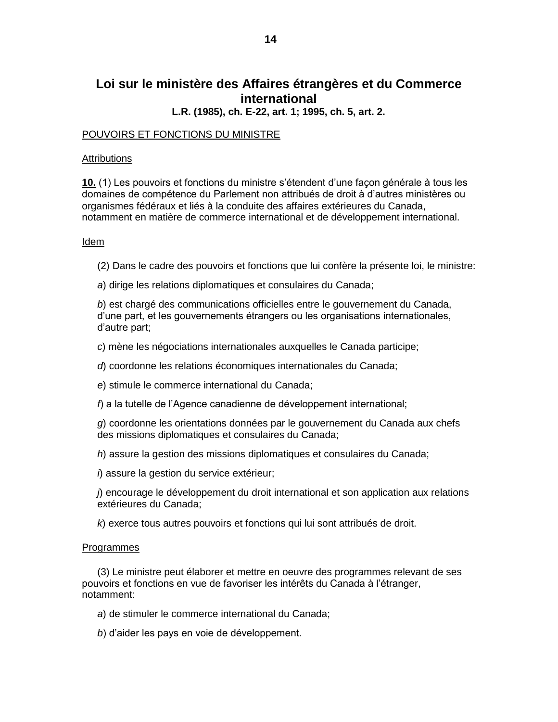# Loi sur le ministère des Affaires étrangères et du Commerce international

L.R. (1985), ch. E-22, art. 1; 1995, ch. 5, art. 2.

#### POUVOIRS ET FONCTIONS DU MINISTRE

#### Attributions

10. (1) Les pouvoirs et fonctions du ministre s'étendent d'une facon générale à tous les domaines de compétence du Parlement non attribués de droit à d'autres ministères ou organismes fédéraux et liés à la conduite des affaires extérieures du Canada, notamment en matière de commerce international et de développement international.

#### Idem

(2) Dans le cadre des pouvoirs et fonctions que lui confère la présente loi, le ministre:

a) dirige les relations diplomatiques et consulaires du Canada;

b) est chargé des communications officielles entre le gouvernement du Canada, d'une part, et les gouvernements étrangers ou les organisations internationales, d'autre part;

c) mène les négociations internationales auxquelles le Canada participe;

d) coordonne les relations économiques internationales du Canada;

e) stimule le commerce international du Canada;

f) a la tutelle de l'Agence canadienne de développement international;

g) coordonne les orientations données par le gouvernement du Canada aux chefs des missions diplomatiques et consulaires du Canada;

h) assure la gestion des missions diplomatiques et consulaires du Canada:

i) assure la gestion du service extérieur;

 $\hat{\theta}$  encourage le développement du droit international et son application aux relations extérieures du Canada:

k) exerce tous autres pouvoirs et fonctions qui lui sont attribués de droit.

#### **Programmes**

(3) Le ministre peut élaborer et mettre en oeuvre des programmes relevant de ses pouvoirs et fonctions en vue de favoriser les intérêts du Canada à l'étranger, notamment:

a) de stimuler le commerce international du Canada;

b) d'aider les pays en voie de développement.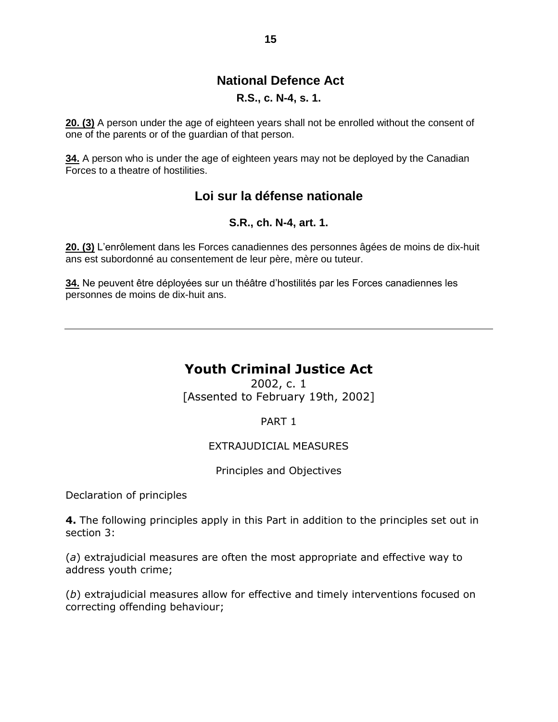# **National Defence Act**

#### **R.S., c. N-4, s. 1.**

**20. (3)** A person under the age of eighteen years shall not be enrolled without the consent of one of the parents or of the guardian of that person.

**34.** A person who is under the age of eighteen years may not be deployed by the Canadian Forces to a theatre of hostilities.

# **Loi sur la défense nationale**

#### **S.R., ch. N-4, art. 1.**

**20. (3)** L'enrôlement dans les Forces canadiennes des personnes âgées de moins de dix-huit ans est subordonné au consentement de leur père, mère ou tuteur.

34. Ne peuvent être déployées sur un théâtre d'hostilités par les Forces canadiennes les personnes de moins de dix-huit ans.

# **Youth Criminal Justice Act**

2002, c. 1 [Assented to February 19th, 2002]

PART 1

#### EXTRAJUDICIAL MEASURES

Principles and Objectives

Declaration of principles

**4.** The following principles apply in this Part in addition to the principles set out in section 3:

(*a*) extrajudicial measures are often the most appropriate and effective way to address youth crime;

(*b*) extrajudicial measures allow for effective and timely interventions focused on correcting offending behaviour;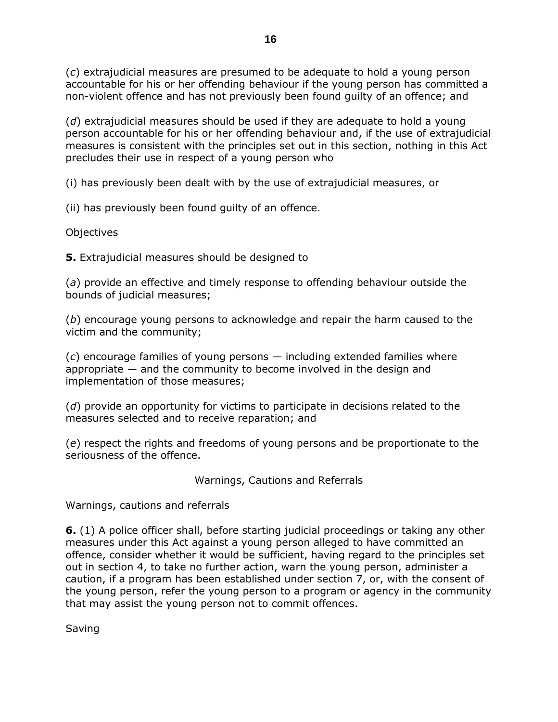(*c*) extrajudicial measures are presumed to be adequate to hold a young person accountable for his or her offending behaviour if the young person has committed a non-violent offence and has not previously been found guilty of an offence; and

(*d*) extrajudicial measures should be used if they are adequate to hold a young person accountable for his or her offending behaviour and, if the use of extrajudicial measures is consistent with the principles set out in this section, nothing in this Act precludes their use in respect of a young person who

(i) has previously been dealt with by the use of extrajudicial measures, or

(ii) has previously been found guilty of an offence.

Objectives

**5.** Extrajudicial measures should be designed to

(*a*) provide an effective and timely response to offending behaviour outside the bounds of judicial measures;

(*b*) encourage young persons to acknowledge and repair the harm caused to the victim and the community;

(*c*) encourage families of young persons — including extended families where appropriate — and the community to become involved in the design and implementation of those measures;

(*d*) provide an opportunity for victims to participate in decisions related to the measures selected and to receive reparation; and

(*e*) respect the rights and freedoms of young persons and be proportionate to the seriousness of the offence.

Warnings, Cautions and Referrals

Warnings, cautions and referrals

**6.** (1) A police officer shall, before starting judicial proceedings or taking any other measures under this Act against a young person alleged to have committed an offence, consider whether it would be sufficient, having regard to the principles set out in section 4, to take no further action, warn the young person, administer a caution, if a program has been established under section 7, or, with the consent of the young person, refer the young person to a program or agency in the community that may assist the young person not to commit offences.

Saving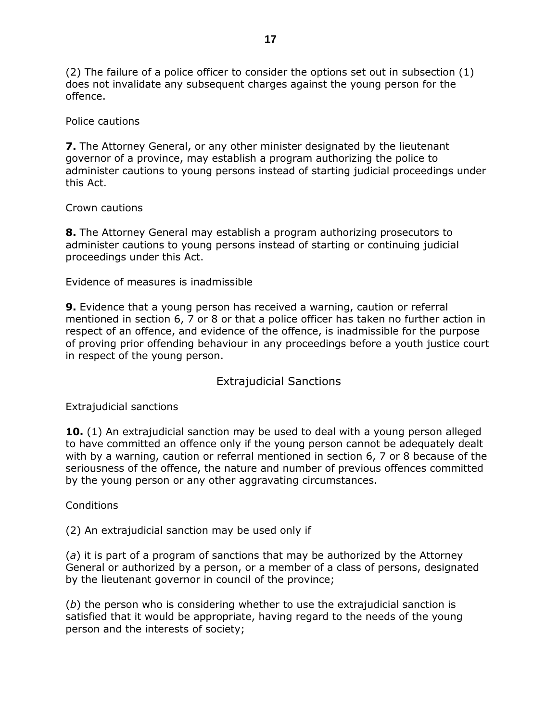(2) The failure of a police officer to consider the options set out in subsection (1) does not invalidate any subsequent charges against the young person for the offence.

#### Police cautions

**7.** The Attorney General, or any other minister designated by the lieutenant governor of a province, may establish a program authorizing the police to administer cautions to young persons instead of starting judicial proceedings under this Act.

#### Crown cautions

**8.** The Attorney General may establish a program authorizing prosecutors to administer cautions to young persons instead of starting or continuing judicial proceedings under this Act.

Evidence of measures is inadmissible

**9.** Evidence that a young person has received a warning, caution or referral mentioned in section 6, 7 or 8 or that a police officer has taken no further action in respect of an offence, and evidence of the offence, is inadmissible for the purpose of proving prior offending behaviour in any proceedings before a youth justice court in respect of the young person.

## Extrajudicial Sanctions

Extrajudicial sanctions

**10.** (1) An extrajudicial sanction may be used to deal with a young person alleged to have committed an offence only if the young person cannot be adequately dealt with by a warning, caution or referral mentioned in section 6, 7 or 8 because of the seriousness of the offence, the nature and number of previous offences committed by the young person or any other aggravating circumstances.

**Conditions** 

(2) An extrajudicial sanction may be used only if

(*a*) it is part of a program of sanctions that may be authorized by the Attorney General or authorized by a person, or a member of a class of persons, designated by the lieutenant governor in council of the province;

(*b*) the person who is considering whether to use the extrajudicial sanction is satisfied that it would be appropriate, having regard to the needs of the young person and the interests of society;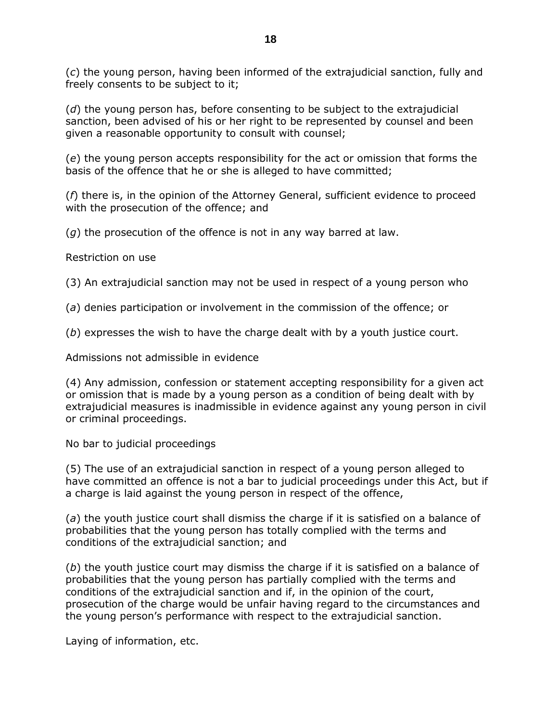(*c*) the young person, having been informed of the extrajudicial sanction, fully and freely consents to be subject to it;

(*d*) the young person has, before consenting to be subject to the extrajudicial sanction, been advised of his or her right to be represented by counsel and been given a reasonable opportunity to consult with counsel;

(*e*) the young person accepts responsibility for the act or omission that forms the basis of the offence that he or she is alleged to have committed;

(*f*) there is, in the opinion of the Attorney General, sufficient evidence to proceed with the prosecution of the offence; and

(*g*) the prosecution of the offence is not in any way barred at law.

Restriction on use

(3) An extrajudicial sanction may not be used in respect of a young person who

(*a*) denies participation or involvement in the commission of the offence; or

(*b*) expresses the wish to have the charge dealt with by a youth justice court.

Admissions not admissible in evidence

(4) Any admission, confession or statement accepting responsibility for a given act or omission that is made by a young person as a condition of being dealt with by extrajudicial measures is inadmissible in evidence against any young person in civil or criminal proceedings.

No bar to judicial proceedings

(5) The use of an extrajudicial sanction in respect of a young person alleged to have committed an offence is not a bar to judicial proceedings under this Act, but if a charge is laid against the young person in respect of the offence,

(*a*) the youth justice court shall dismiss the charge if it is satisfied on a balance of probabilities that the young person has totally complied with the terms and conditions of the extrajudicial sanction; and

(*b*) the youth justice court may dismiss the charge if it is satisfied on a balance of probabilities that the young person has partially complied with the terms and conditions of the extrajudicial sanction and if, in the opinion of the court, prosecution of the charge would be unfair having regard to the circumstances and the young person's performance with respect to the extrajudicial sanction.

Laying of information, etc.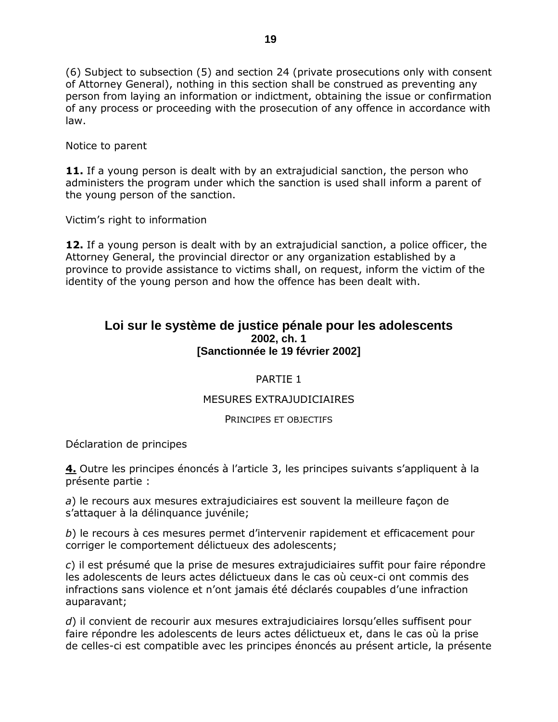(6) Subject to subsection (5) and section 24 (private prosecutions only with consent of Attorney General), nothing in this section shall be construed as preventing any person from laying an information or indictment, obtaining the issue or confirmation of any process or proceeding with the prosecution of any offence in accordance with law.

Notice to parent

**11.** If a young person is dealt with by an extrajudicial sanction, the person who administers the program under which the sanction is used shall inform a parent of the young person of the sanction.

Victim's right to information

**12.** If a young person is dealt with by an extrajudicial sanction, a police officer, the Attorney General, the provincial director or any organization established by a province to provide assistance to victims shall, on request, inform the victim of the identity of the young person and how the offence has been dealt with.

## **Loi sur le système de justice pénale pour les adolescents 2002, ch. 1 [Sanctionnée le 19 février 2002]**

#### PARTIE 1

#### MESURES EXTRAJUDICIAIRES

#### PRINCIPES ET OBJECTIFS

Déclaration de principes

**4.** Outre les principes énoncés à l'article 3, les principes suivants s'appliquent à la présente partie :

*a*) le recours aux mesures extrajudiciaires est souvent la meilleure façon de s'attaquer à la délinguance juvénile;

*b*) le recours à ces mesures permet d'intervenir rapidement et efficacement pour corriger le comportement délictueux des adolescents;

*c*) il est présumé que la prise de mesures extrajudiciaires suffit pour faire répondre les adolescents de leurs actes délictueux dans le cas où ceux-ci ont commis des infractions sans violence et n'ont jamais été déclarés coupables d'une infraction auparavant;

*d*) il convient de recourir aux mesures extrajudiciaires lorsqu'elles suffisent pour faire répondre les adolescents de leurs actes délictueux et, dans le cas où la prise de celles-ci est compatible avec les principes énoncés au présent article, la présente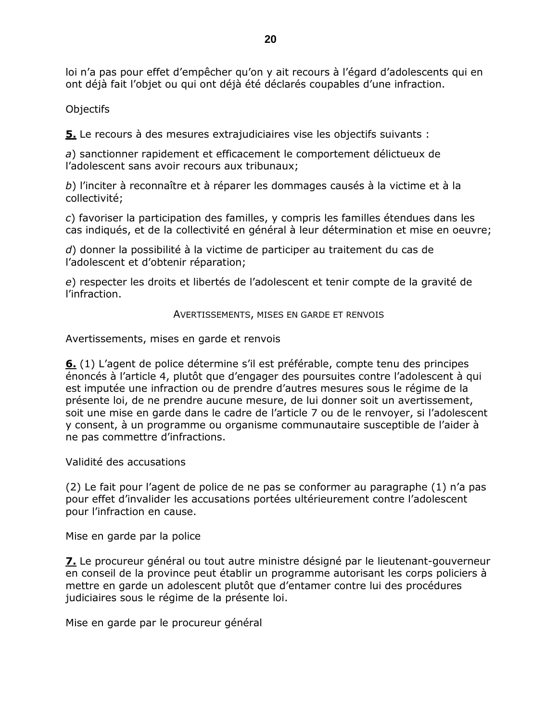loi n'a pas pour effet d'empêcher qu'on y ait recours à l'égard d'adolescents qui en ont déjà fait l'objet ou qui ont déjà été déclarés coupables d'une infraction.

Objectifs

5. Le recours à des mesures extrajudiciaires vise les objectifs suivants :

a) sanctionner rapidement et efficacement le comportement délictueux de l'adolescent sans avoir recours aux tribunaux;

b) l'inciter à reconnaître et à réparer les dommages causés à la victime et à la collectivité:

c) favoriser la participation des familles, y compris les familles étendues dans les cas indiqués, et de la collectivité en général à leur détermination et mise en oeuvre;

d) donner la possibilité à la victime de participer au traitement du cas de l'adolescent et d'obtenir réparation;

e) respecter les droits et libertés de l'adolescent et tenir compte de la gravité de l'infraction.

AVERTISSEMENTS, MISES EN GARDE ET RENVOIS

Avertissements, mises en garde et renvois

6. (1) L'agent de police détermine s'il est préférable, compte tenu des principes énoncés à l'article 4, plutôt que d'engager des poursuites contre l'adolescent à qui est imputée une infraction ou de prendre d'autres mesures sous le régime de la présente loi, de ne prendre aucune mesure, de lui donner soit un avertissement, soit une mise en garde dans le cadre de l'article 7 ou de le renvoyer, si l'adolescent y consent, à un programme ou organisme communautaire susceptible de l'aider à ne pas commettre d'infractions.

Validité des accusations

(2) Le fait pour l'agent de police de ne pas se conformer au paragraphe (1) n'a pas pour effet d'invalider les accusations portées ultérieurement contre l'adolescent pour l'infraction en cause.

Mise en garde par la police

Z. Le procureur général ou tout autre ministre désigné par le lieutenant-gouverneur en conseil de la province peut établir un programme autorisant les corps policiers à mettre en garde un adolescent plutôt que d'entamer contre lui des procédures judiciaires sous le régime de la présente loi.

Mise en garde par le procureur général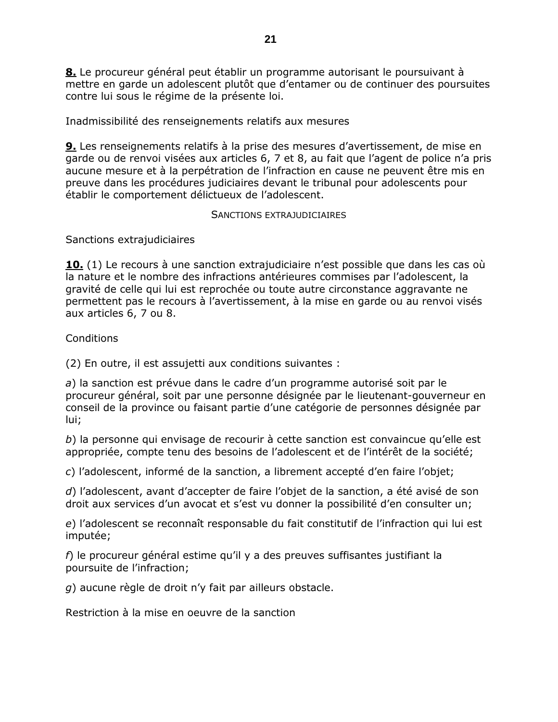8. Le procureur général peut établir un programme autorisant le poursuivant à mettre en garde un adolescent plutôt que d'entamer ou de continuer des poursuites contre lui sous le régime de la présente loi.

Inadmissibilité des renseignements relatifs aux mesures

**9.** Les renseignements relatifs à la prise des mesures d'avertissement, de mise en garde ou de renvoi visées aux articles 6, 7 et 8, au fait que l'agent de police n'a pris aucune mesure et à la perpétration de l'infraction en cause ne peuvent être mis en preuve dans les procédures judiciaires devant le tribunal pour adolescents pour établir le comportement délictueux de l'adolescent.

#### SANCTIONS EXTRAJUDICIAIRES

Sanctions extrajudiciaires

**10.** (1) Le recours à une sanction extrajudiciaire n'est possible que dans les cas où la nature et le nombre des infractions antérieures commises par l'adolescent, la gravité de celle qui lui est reprochée ou toute autre circonstance aggravante ne permettent pas le recours à l'avertissement, à la mise en garde ou au renvoi visés aux articles 6, 7 ou 8.

## Conditions

(2) En outre, il est assujetti aux conditions suivantes :

a) la sanction est prévue dans le cadre d'un programme autorisé soit par le procureur général, soit par une personne désignée par le lieutenant-gouverneur en conseil de la province ou faisant partie d'une catégorie de personnes désignée par lui;

b) la personne qui envisage de recourir à cette sanction est convaincue qu'elle est appropriée, compte tenu des besoins de l'adolescent et de l'intérêt de la société;

c) l'adolescent, informé de la sanction, a librement accepté d'en faire l'objet;

d) l'adolescent, avant d'accepter de faire l'objet de la sanction, a été avisé de son droit aux services d'un avocat et s'est vu donner la possibilité d'en consulter un;

e) l'adolescent se reconnaît responsable du fait constitutif de l'infraction qui lui est imputée;

 $f$ ) le procureur général estime qu'il y a des preuves suffisantes justifiant la poursuite de l'infraction;

g) aucune règle de droit n'y fait par ailleurs obstacle.

Restriction à la mise en oeuvre de la sanction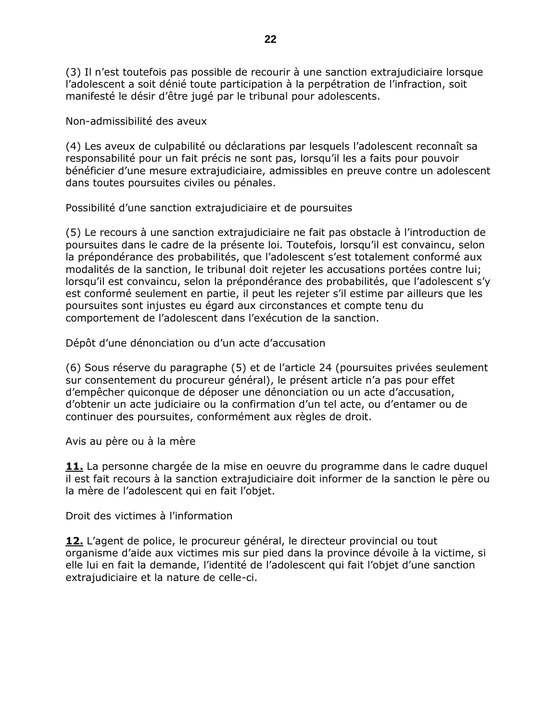(3) Il n'est toutefois pas possible de recourir à une sanction extrajudiciaire lorsque l'adolescent a soit dénié toute participation à la perpétration de l'infraction, soit manifesté le désir d'être jugé par le tribunal pour adolescents.

Non-admissibilité des aveux

(4) Les aveux de culpabilité ou déclarations par lesquels l'adolescent reconnaît sa responsabilité pour un fait précis ne sont pas, lorsqu'il les a faits pour pouvoir bénéficier d'une mesure extrajudiciaire, admissibles en preuve contre un adolescent dans toutes poursuites civiles ou pénales.

Possibilité d'une sanction extrajudiciaire et de poursuites

(5) Le recours à une sanction extrajudiciaire ne fait pas obstacle à l'introduction de poursuites dans le cadre de la présente loi. Toutefois, lorsqu'il est convaincu, selon la prépondérance des probabilités, que l'adolescent s'est totalement conformé aux modalités de la sanction, le tribunal doit rejeter les accusations portées contre lui; lorsqu'il est convaincu, selon la prépondérance des probabilités, que l'adolescent s'y est conformé seulement en partie, il peut les rejeter s'il estime par ailleurs que les poursuites sont injustes eu égard aux circonstances et compte tenu du comportement de l'adolescent dans l'exécution de la sanction.

Dépôt d'une dénonciation ou d'un acte d'accusation

(6) Sous réserve du paragraphe (5) et de l'article 24 (poursuites privées seulement sur consentement du procureur général), le présent article n'a pas pour effet d'empêcher quiconque de déposer une dénonciation ou un acte d'accusation, d'obtenir un acte judiciaire ou la confirmation d'un tel acte, ou d'entamer ou de continuer des poursuites, conformément aux règles de droit.

Avis au père ou à la mère

11. La personne chargée de la mise en oeuvre du programme dans le cadre duquel il est fait recours à la sanction extrajudiciaire doit informer de la sanction le père ou la mère de l'adolescent qui en fait l'objet.

Droit des victimes à l'information

12. L'agent de police, le procureur général, le directeur provincial ou tout organisme d'aide aux victimes mis sur pied dans la province dévoile à la victime, si elle lui en fait la demande, l'identité de l'adolescent qui fait l'objet d'une sanction extrajudiciaire et la nature de celle-ci.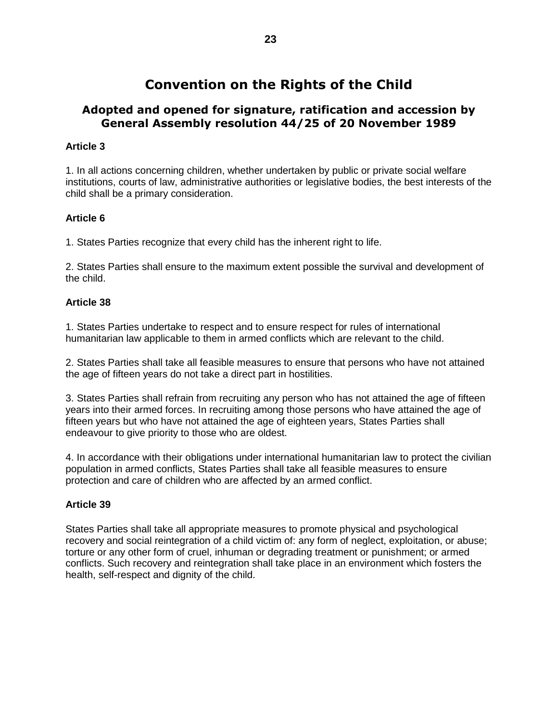# **Convention on the Rights of the Child**

## **Adopted and opened for signature, ratification and accession by General Assembly resolution 44/25 of 20 November 1989**

#### **Article 3**

1. In all actions concerning children, whether undertaken by public or private social welfare institutions, courts of law, administrative authorities or legislative bodies, the best interests of the child shall be a primary consideration.

#### **Article 6**

1. States Parties recognize that every child has the inherent right to life.

2. States Parties shall ensure to the maximum extent possible the survival and development of the child.

#### **Article 38**

1. States Parties undertake to respect and to ensure respect for rules of international humanitarian law applicable to them in armed conflicts which are relevant to the child.

2. States Parties shall take all feasible measures to ensure that persons who have not attained the age of fifteen years do not take a direct part in hostilities.

3. States Parties shall refrain from recruiting any person who has not attained the age of fifteen years into their armed forces. In recruiting among those persons who have attained the age of fifteen years but who have not attained the age of eighteen years, States Parties shall endeavour to give priority to those who are oldest.

4. In accordance with their obligations under international humanitarian law to protect the civilian population in armed conflicts, States Parties shall take all feasible measures to ensure protection and care of children who are affected by an armed conflict.

#### **Article 39**

States Parties shall take all appropriate measures to promote physical and psychological recovery and social reintegration of a child victim of: any form of neglect, exploitation, or abuse; torture or any other form of cruel, inhuman or degrading treatment or punishment; or armed conflicts. Such recovery and reintegration shall take place in an environment which fosters the health, self-respect and dignity of the child.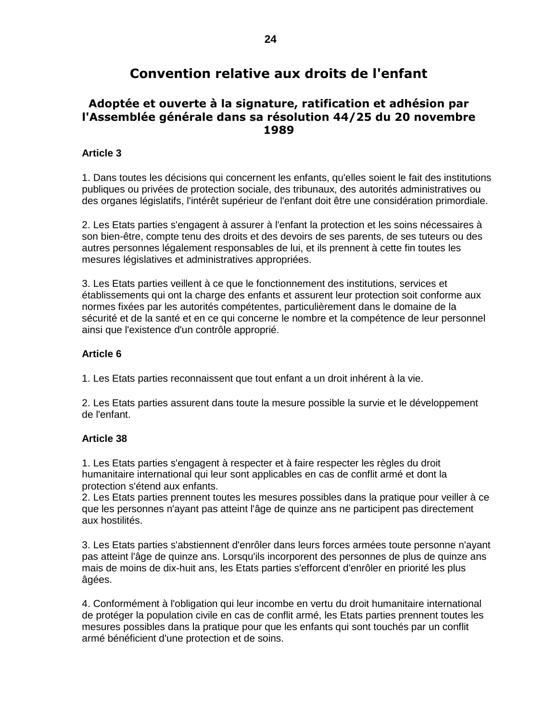# **Convention relative aux droits de l'enfant**

## **Adoptée et ouverte à la signature, ratification et adhésion par l'Assemblée générale dans sa résolution 44/25 du 20 novembre 1989**

#### **Article 3**

1. Dans toutes les décisions qui concernent les enfants, qu'elles soient le fait des institutions publiques ou privées de protection sociale, des tribunaux, des autorités administratives ou des organes législatifs, l'intérêt supérieur de l'enfant doit être une considération primordiale.

2. Les Etats parties s'engagent à assurer à l'enfant la protection et les soins nécessaires à son bien-être, compte tenu des droits et des devoirs de ses parents, de ses tuteurs ou des autres personnes légalement responsables de lui, et ils prennent à cette fin toutes les mesures législatives et administratives appropriées.

3. Les Etats parties veillent à ce que le fonctionnement des institutions, services et établissements qui ont la charge des enfants et assurent leur protection soit conforme aux normes fixées par les autorités compétentes, particulièrement dans le domaine de la sécurité et de la santé et en ce qui concerne le nombre et la compétence de leur personnel ainsi que l'existence d'un contrôle approprié.

#### **Article 6**

1. Les Etats parties reconnaissent que tout enfant a un droit inhérent à la vie.

2. Les Etats parties assurent dans toute la mesure possible la survie et le développement de l'enfant.

#### **Article 38**

1. Les Etats parties s'engagent à respecter et à faire respecter les règles du droit humanitaire international qui leur sont applicables en cas de conflit armé et dont la protection s'étend aux enfants.

2. Les Etats parties prennent toutes les mesures possibles dans la pratique pour veiller à ce que les personnes n'ayant pas atteint l'âge de quinze ans ne participent pas directement aux hostilités.

3. Les Etats parties s'abstiennent d'enrôler dans leurs forces armées toute personne n'ayant pas atteint l'âge de quinze ans. Lorsqu'ils incorporent des personnes de plus de quinze ans mais de moins de dix-huit ans, les Etats parties s'efforcent d'enrôler en priorité les plus âgées.

4. Conformément à l'obligation qui leur incombe en vertu du droit humanitaire international de protéger la population civile en cas de conflit armé, les Etats parties prennent toutes les mesures possibles dans la pratique pour que les enfants qui sont touchés par un conflit armé bénéficient d'une protection et de soins.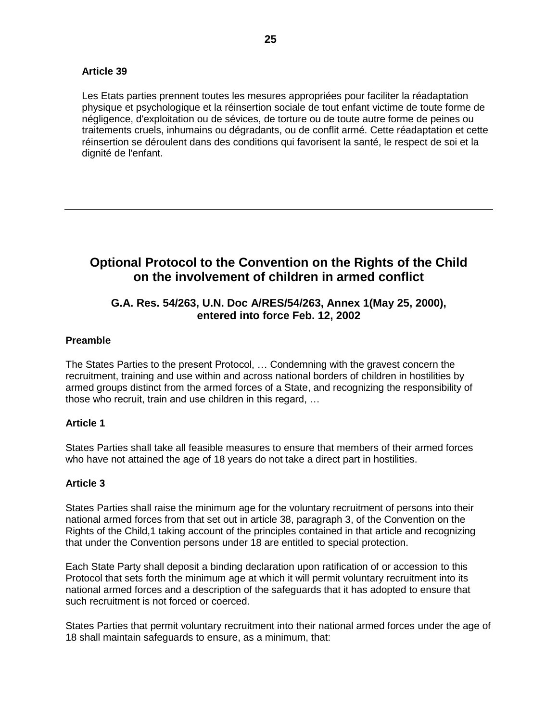#### **Article 39**

Les Etats parties prennent toutes les mesures appropriées pour faciliter la réadaptation physique et psychologique et la réinsertion sociale de tout enfant victime de toute forme de négligence, d'exploitation ou de sévices, de torture ou de toute autre forme de peines ou traitements cruels, inhumains ou dégradants, ou de conflit armé. Cette réadaptation et cette réinsertion se déroulent dans des conditions qui favorisent la santé, le respect de soi et la dignité de l'enfant.

# **Optional Protocol to the Convention on the Rights of the Child on the involvement of children in armed conflict**

## **G.A. Res. 54/263, U.N. Doc A/RES/54/263, Annex 1(May 25, 2000), entered into force Feb. 12, 2002**

#### **Preamble**

The States Parties to the present Protocol, ... Condemning with the gravest concern the recruitment, training and use within and across national borders of children in hostilities by armed groups distinct from the armed forces of a State, and recognizing the responsibility of those who recruit, train and use children in this regard, ...

#### **Article 1**

States Parties shall take all feasible measures to ensure that members of their armed forces who have not attained the age of 18 years do not take a direct part in hostilities.

#### **Article 3**

States Parties shall raise the minimum age for the voluntary recruitment of persons into their national armed forces from that set out in article 38, paragraph 3, of the Convention on the Rights of the Child,1 taking account of the principles contained in that article and recognizing that under the Convention persons under 18 are entitled to special protection.

Each State Party shall deposit a binding declaration upon ratification of or accession to this Protocol that sets forth the minimum age at which it will permit voluntary recruitment into its national armed forces and a description of the safeguards that it has adopted to ensure that such recruitment is not forced or coerced.

States Parties that permit voluntary recruitment into their national armed forces under the age of 18 shall maintain safeguards to ensure, as a minimum, that: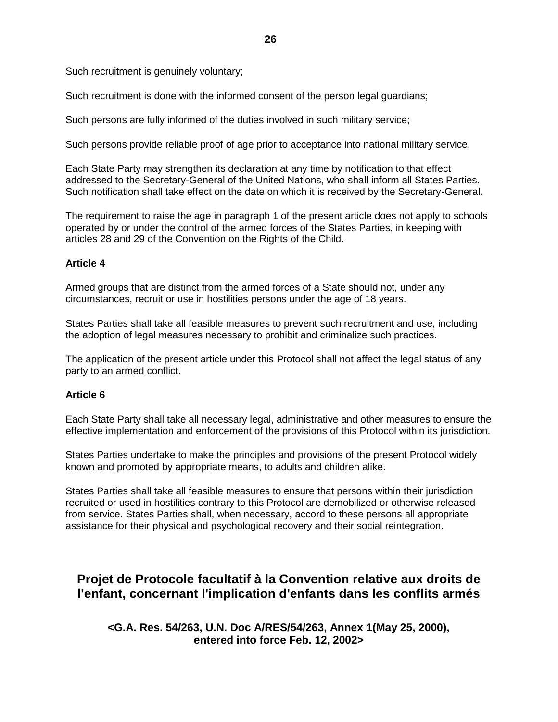Such recruitment is genuinely voluntary;

Such recruitment is done with the informed consent of the person legal guardians;

Such persons are fully informed of the duties involved in such military service;

Such persons provide reliable proof of age prior to acceptance into national military service.

Each State Party may strengthen its declaration at any time by notification to that effect addressed to the Secretary-General of the United Nations, who shall inform all States Parties. Such notification shall take effect on the date on which it is received by the Secretary-General.

The requirement to raise the age in paragraph 1 of the present article does not apply to schools operated by or under the control of the armed forces of the States Parties, in keeping with articles 28 and 29 of the Convention on the Rights of the Child.

#### **Article 4**

Armed groups that are distinct from the armed forces of a State should not, under any circumstances, recruit or use in hostilities persons under the age of 18 years.

States Parties shall take all feasible measures to prevent such recruitment and use, including the adoption of legal measures necessary to prohibit and criminalize such practices.

The application of the present article under this Protocol shall not affect the legal status of any party to an armed conflict.

#### **Article 6**

Each State Party shall take all necessary legal, administrative and other measures to ensure the effective implementation and enforcement of the provisions of this Protocol within its jurisdiction.

States Parties undertake to make the principles and provisions of the present Protocol widely known and promoted by appropriate means, to adults and children alike.

States Parties shall take all feasible measures to ensure that persons within their jurisdiction recruited or used in hostilities contrary to this Protocol are demobilized or otherwise released from service. States Parties shall, when necessary, accord to these persons all appropriate assistance for their physical and psychological recovery and their social reintegration.

# **Projet de Protocole facultatif à la Convention relative aux droits de l'enfant, concernant l'implication d'enfants dans les conflits armés**

#### **<G.A. Res. 54/263, U.N. Doc A/RES/54/263, Annex 1(May 25, 2000), entered into force Feb. 12, 2002>**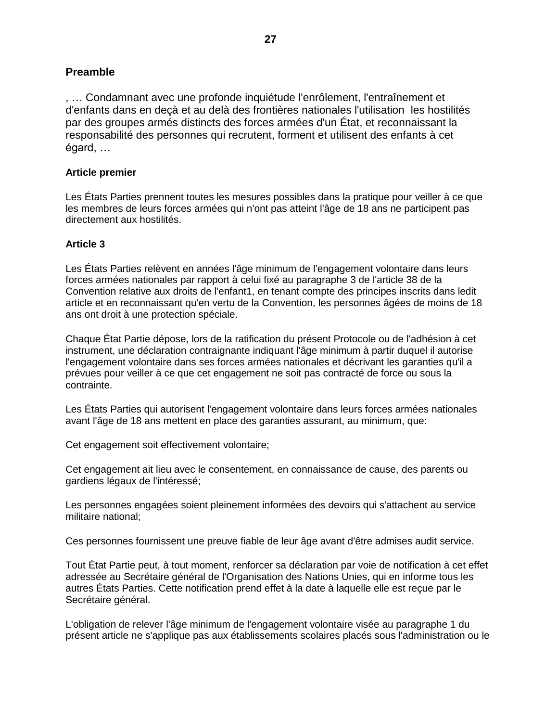,… Condamnant avec une profonde inquiétude l'enrôlement, l'entraînement et d'enfants dans en deçà et au delà des frontières nationales l'utilisation les hostilités par des groupes armés distincts des forces armées d'un État, et reconnaissant la responsabilité des personnes qui recrutent, forment et utilisent des enfants à cet égard,…

#### **Article premier**

Les États Parties prennent toutes les mesures possibles dans la pratique pour veiller à ce que les membres de leurs forces armées qui n'ont pas atteint l'âge de 18 ans ne participent pas directement aux hostilités.

#### **Article 3**

Les États Parties relèvent en années l'âge minimum de l'engagement volontaire dans leurs forces armées nationales par rapport à celui fixé au paragraphe 3 de l'article 38 de la Convention relative aux droits de l'enfant1, en tenant compte des principes inscrits dans ledit article et en reconnaissant qu'en vertu de la Convention, les personnes âgées de moins de 18 ans ont droit à une protection spéciale.

Chaque État Partie dépose, lors de la ratification du présent Protocole ou de l'adhésion à cet instrument, une déclaration contraignante indiquant l'âge minimum à partir duquel il autorise l'engagement volontaire dans ses forces armées nationales et décrivant les garanties qu'il a prévues pour veiller à ce que cet engagement ne soit pas contracté de force ou sous la contrainte.

Les États Parties qui autorisent l'engagement volontaire dans leurs forces armées nationales avant l'âge de 18 ans mettent en place des garanties assurant, au minimum, que:

Cet engagement soit effectivement volontaire;

Cet engagement ait lieu avec le consentement, en connaissance de cause, des parents ou gardiens légaux de l'intéressé;

Les personnes engagées soient pleinement informées des devoirs qui s'attachent au service militaire national;

Ces personnes fournissent une preuve fiable de leur âge avant d'être admises audit service.

Tout État Partie peut, à tout moment, renforcer sa déclaration par voie de notification à cet effet adressée au Secrétaire général de l'Organisation des Nations Unies, qui en informe tous les autres États Parties. Cette notification prend effet à la date à laquelle elle est reçue par le Secrétaire général.

L'obligation de relever l'âge minimum de l'engagement volontaire visée au paragraphe 1 du présent article ne s'applique pas aux établissements scolaires placés sous l'administration ou le